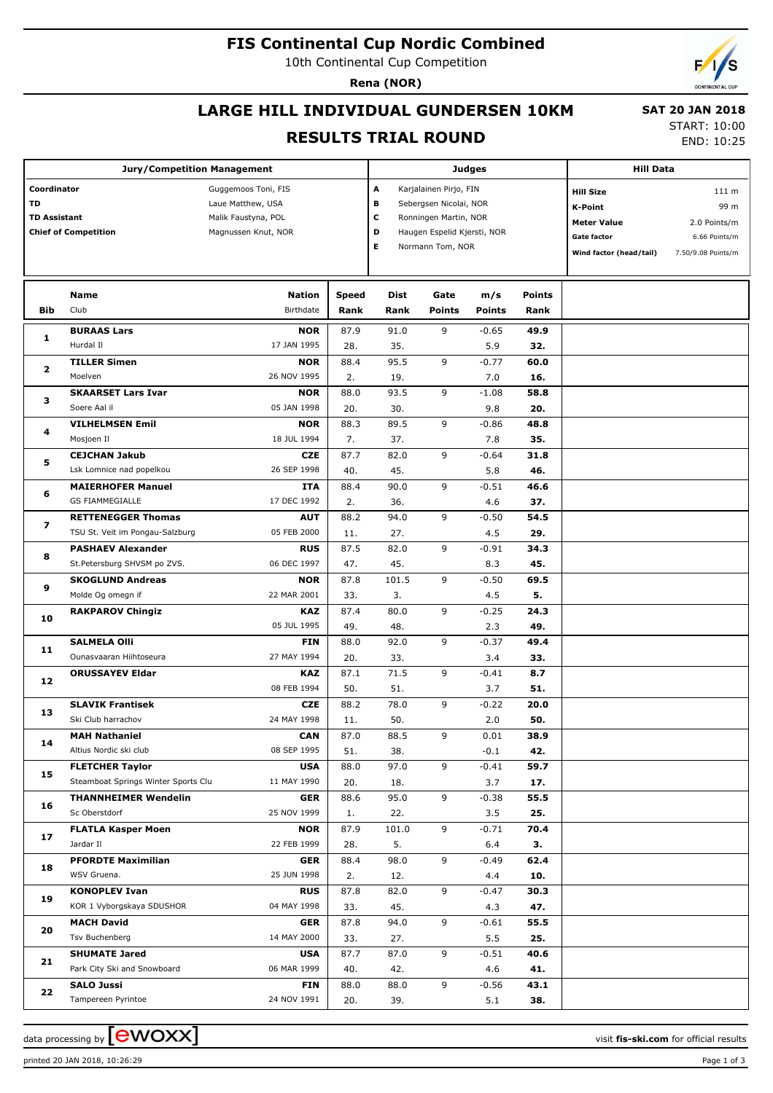## **FIS Continental Cup Nordic Combined**

10th Continental Cup Competition

**Rena (NOR)**

# **LARGE HILL INDIVIDUAL GUNDERSEN 10KM**

 **SAT 20 JAN 2018**

#### **RESULTS TRIAL ROUND**

|  |  | <b>START: 10:00</b> |  |
|--|--|---------------------|--|

END: 10:25

| <b>Jury/Competition Management</b>       |                                     |                                                                 |              |             |                                                                           | <b>Judges</b> | <b>Hill Data</b> |                                                          |                               |
|------------------------------------------|-------------------------------------|-----------------------------------------------------------------|--------------|-------------|---------------------------------------------------------------------------|---------------|------------------|----------------------------------------------------------|-------------------------------|
| Coordinator<br>TD<br><b>TD Assistant</b> |                                     | Guggemoos Toni, FIS<br>Laue Matthew, USA<br>Malik Faustyna, POL |              | A<br>в<br>c | Karjalainen Pirjo, FIN<br>Sebergsen Nicolai, NOR<br>Ronningen Martin, NOR |               |                  | <b>Hill Size</b><br><b>K-Point</b><br><b>Meter Value</b> | 111 m<br>99 m<br>2.0 Points/m |
| <b>Chief of Competition</b>              |                                     | Magnussen Knut, NOR                                             |              | D<br>Е      | Haugen Espelid Kjersti, NOR<br>Normann Tom, NOR                           |               |                  | <b>Gate factor</b>                                       | 6.66 Points/m                 |
|                                          |                                     |                                                                 |              |             |                                                                           |               |                  | Wind factor (head/tail)                                  | 7.50/9.08 Points/m            |
|                                          | Name                                | <b>Nation</b>                                                   | <b>Speed</b> | <b>Dist</b> | Gate                                                                      | m/s           | <b>Points</b>    |                                                          |                               |
| <b>Bib</b>                               | Club                                | Birthdate                                                       | Rank         | Rank        | <b>Points</b>                                                             | Points        | Rank             |                                                          |                               |
|                                          | <b>BURAAS Lars</b>                  | <b>NOR</b>                                                      | 87.9         | 91.0        | 9                                                                         | $-0.65$       | 49.9             |                                                          |                               |
| 1                                        | Hurdal II                           | 17 JAN 1995                                                     | 28.          | 35.         |                                                                           | 5.9           | 32.              |                                                          |                               |
|                                          | <b>TILLER Simen</b>                 | <b>NOR</b>                                                      | 88.4         | 95.5        | 9                                                                         | $-0.77$       | 60.0             |                                                          |                               |
| $\mathbf{z}$                             | Moelven                             | 26 NOV 1995                                                     | 2.           | 19.         |                                                                           | 7.0           | 16.              |                                                          |                               |
|                                          | <b>SKAARSET Lars Ivar</b>           | <b>NOR</b>                                                      | 88.0         | 93.5        | 9                                                                         | $-1.08$       | 58.8             |                                                          |                               |
| з                                        | Soere Aal il                        | 05 JAN 1998                                                     | 20.          | 30.         |                                                                           | 9.8           | 20.              |                                                          |                               |
|                                          | <b>VILHELMSEN Emil</b>              | <b>NOR</b>                                                      | 88.3         | 89.5        | 9                                                                         | $-0.86$       | 48.8             |                                                          |                               |
| 4                                        | Mosjoen Il                          | 18 JUL 1994                                                     | 7.           | 37.         |                                                                           | 7.8           | 35.              |                                                          |                               |
|                                          | <b>CEJCHAN Jakub</b>                | <b>CZE</b>                                                      | 87.7         | 82.0        | 9                                                                         | $-0.64$       | 31.8             |                                                          |                               |
| 5                                        | Lsk Lomnice nad popelkou            | 26 SEP 1998                                                     | 40.          | 45.         |                                                                           | 5.8           | 46.              |                                                          |                               |
|                                          | <b>MAIERHOFER Manuel</b>            | ITA                                                             | 88.4         | 90.0        | 9                                                                         | $-0.51$       | 46.6             |                                                          |                               |
| 6                                        | <b>GS FIAMMEGIALLE</b>              | 17 DEC 1992                                                     | 2.           | 36.         |                                                                           | 4.6           | 37.              |                                                          |                               |
| $\overline{\mathbf{z}}$                  | <b>RETTENEGGER Thomas</b>           | <b>AUT</b>                                                      | 88.2         | 94.0        | 9                                                                         | $-0.50$       | 54.5             |                                                          |                               |
|                                          | TSU St. Veit im Pongau-Salzburg     | 05 FEB 2000                                                     | 11.          | 27.         |                                                                           | 4.5           | 29.              |                                                          |                               |
| 8                                        | <b>PASHAEV Alexander</b>            | <b>RUS</b>                                                      | 87.5         | 82.0        | 9                                                                         | $-0.91$       | 34.3             |                                                          |                               |
|                                          | St.Petersburg SHVSM po ZVS.         | 06 DEC 1997                                                     | 47.          | 45.         |                                                                           | 8.3           | 45.              |                                                          |                               |
| 9                                        | <b>SKOGLUND Andreas</b>             | <b>NOR</b>                                                      | 87.8         | 101.5       | 9                                                                         | $-0.50$       | 69.5             |                                                          |                               |
|                                          | Molde Og omegn if                   | 22 MAR 2001                                                     | 33.          | 3.          |                                                                           | 4.5           | 5.               |                                                          |                               |
| 10                                       | <b>RAKPAROV Chingiz</b>             | <b>KAZ</b>                                                      | 87.4         | 80.0        | 9                                                                         | $-0.25$       | 24.3             |                                                          |                               |
|                                          |                                     | 05 JUL 1995                                                     | 49.          | 48.         |                                                                           | 2.3           | 49.              |                                                          |                               |
| 11                                       | <b>SALMELA Olli</b>                 | <b>FIN</b>                                                      | 88.0         | 92.0        | 9                                                                         | $-0.37$       | 49.4             |                                                          |                               |
|                                          | Ounasvaaran Hiihtoseura             | 27 MAY 1994                                                     | 20.          | 33.         |                                                                           | 3.4           | 33.              |                                                          |                               |
| 12                                       | <b>ORUSSAYEV Eldar</b>              | <b>KAZ</b>                                                      | 87.1         | 71.5        | 9                                                                         | $-0.41$       | 8.7              |                                                          |                               |
|                                          |                                     | 08 FEB 1994                                                     | 50.          | 51.         |                                                                           | 3.7           | 51.              |                                                          |                               |
| 13                                       | <b>SLAVIK Frantisek</b>             | <b>CZE</b>                                                      | 88.2         | 78.0        | 9                                                                         | $-0.22$       | 20.0             |                                                          |                               |
|                                          | Ski Club harrachov                  | 24 MAY 1998                                                     | 11.          | 50.         |                                                                           | 2.0           | 50.              |                                                          |                               |
| 14                                       | <b>MAH Nathaniel</b>                | CAN                                                             | 87.0         | 88.5        | 9                                                                         | 0.01          | 38.9             |                                                          |                               |
|                                          | Altius Nordic ski club              | 08 SEP 1995                                                     | 51.          | 38.         |                                                                           | $-0.1$        | 42.              |                                                          |                               |
| 15                                       | <b>FLETCHER Taylor</b>              | <b>USA</b>                                                      | 88.0         | 97.0        | 9                                                                         | $-0.41$       | 59.7             |                                                          |                               |
|                                          | Steamboat Springs Winter Sports Clu | 11 MAY 1990                                                     | 20.          | 18.         |                                                                           | 3.7           | 17.              |                                                          |                               |
| 16                                       | <b>THANNHEIMER Wendelin</b>         | <b>GER</b>                                                      | 88.6         | 95.0        | 9                                                                         | $-0.38$       | 55.5             |                                                          |                               |
|                                          | Sc Oberstdorf                       | 25 NOV 1999                                                     | 1.           | 22.         |                                                                           | 3.5           | 25.              |                                                          |                               |
| 17                                       | <b>FLATLA Kasper Moen</b>           | <b>NOR</b>                                                      | 87.9         | 101.0       | 9                                                                         | $-0.71$       | 70.4             |                                                          |                               |
|                                          | Jardar II                           | 22 FEB 1999                                                     | 28.          | 5.          |                                                                           | 6.4           | З.               |                                                          |                               |
| 18                                       | <b>PFORDTE Maximilian</b>           | <b>GER</b>                                                      | 88.4         | 98.0        | 9                                                                         | $-0.49$       | 62.4             |                                                          |                               |
|                                          | WSV Gruena.                         | 25 JUN 1998                                                     | 2.           | 12.         |                                                                           | 4.4           | 10.              |                                                          |                               |
| 19                                       | <b>KONOPLEV Ivan</b>                | <b>RUS</b>                                                      | 87.8         | 82.0        | 9                                                                         | $-0.47$       | 30.3             |                                                          |                               |
|                                          | KOR 1 Vyborgskaya SDUSHOR           | 04 MAY 1998                                                     | 33.          | 45.         |                                                                           | 4.3           | 47.              |                                                          |                               |
| 20                                       | <b>MACH David</b>                   | <b>GER</b>                                                      | 87.8         | 94.0        | 9                                                                         | $-0.61$       | 55.5             |                                                          |                               |
|                                          | Tsv Buchenberg                      | 14 MAY 2000                                                     | 33.          | 27.         |                                                                           | 5.5           | 25.              |                                                          |                               |
| 21                                       | <b>SHUMATE Jared</b>                | <b>USA</b>                                                      | 87.7         | 87.0        | 9                                                                         | $-0.51$       | 40.6             |                                                          |                               |
|                                          | Park City Ski and Snowboard         | 06 MAR 1999                                                     | 40.          | 42.         |                                                                           | 4.6           | 41.              |                                                          |                               |
| 22                                       | <b>SALO Jussi</b>                   | <b>FIN</b>                                                      | 88.0         | 88.0        | 9                                                                         | $-0.56$       | 43.1             |                                                          |                               |
|                                          | Tampereen Pyrintoe                  | 24 NOV 1991                                                     | 20.          | 39.         |                                                                           | 5.1           | 38.              |                                                          |                               |

data processing by **CWOXX** and  $\overline{C}$  and  $\overline{C}$  and  $\overline{C}$  and  $\overline{C}$  and  $\overline{C}$  and  $\overline{C}$  and  $\overline{C}$  and  $\overline{C}$  and  $\overline{C}$  and  $\overline{C}$  and  $\overline{C}$  and  $\overline{C}$  and  $\overline{C}$  and  $\overline{C}$  and  $\overline{C}$ 

printed 20 JAN 2018, 10:26:29 Page 1 of 3

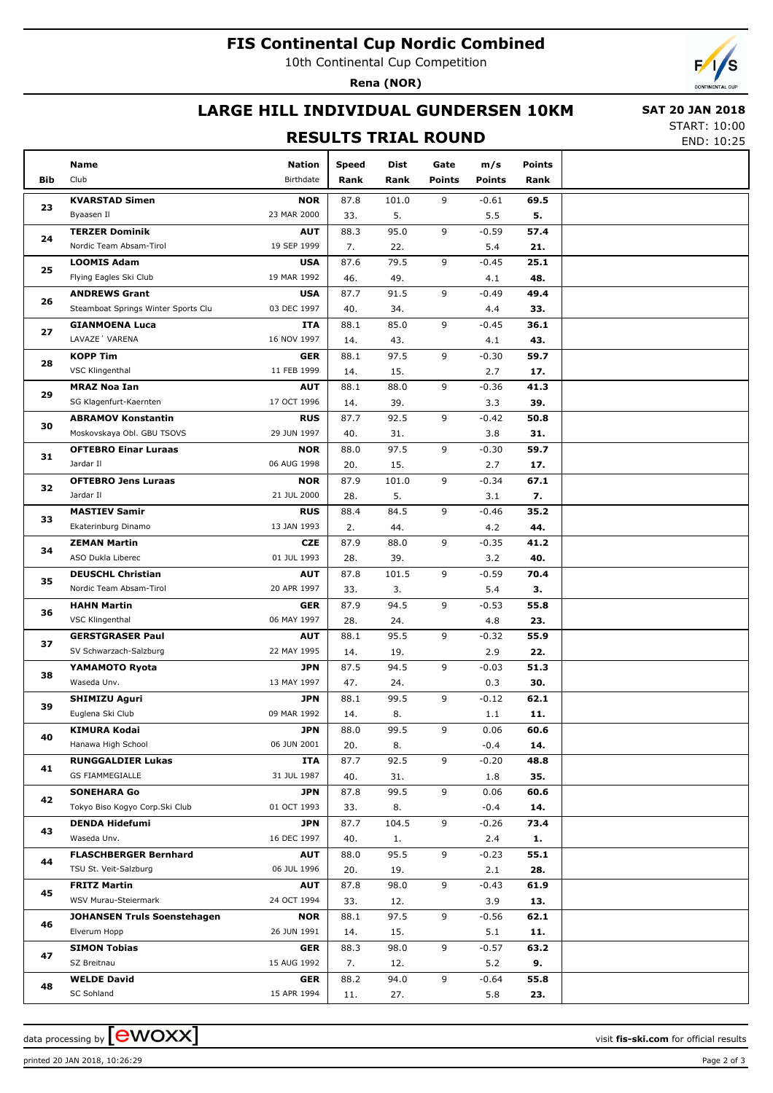## **FIS Continental Cup Nordic Combined**

10th Continental Cup Competition

**Rena (NOR)**

### **LARGE HILL INDIVIDUAL GUNDERSEN 10KM**

#### **RESULTS TRIAL ROUND**

 **SAT 20 JAN 2018** START: 10:00

END: 10:25

|     | Name                                | Nation      | <b>Speed</b> | Dist  | Gate          | m/s           | <b>Points</b> |  |
|-----|-------------------------------------|-------------|--------------|-------|---------------|---------------|---------------|--|
| Bib | Club                                | Birthdate   | Rank         | Rank  | <b>Points</b> | <b>Points</b> | Rank          |  |
|     | <b>KVARSTAD Simen</b>               | <b>NOR</b>  | 87.8         | 101.0 | 9             | $-0.61$       | 69.5          |  |
| 23  | Byaasen Il                          | 23 MAR 2000 | 33.          | 5.    |               | 5.5           | 5.            |  |
|     | <b>TERZER Dominik</b>               | <b>AUT</b>  | 88.3         | 95.0  | 9             | $-0.59$       | 57.4          |  |
| 24  | Nordic Team Absam-Tirol             | 19 SEP 1999 | 7.           | 22.   |               | 5.4           | 21.           |  |
|     | <b>LOOMIS Adam</b>                  | <b>USA</b>  | 87.6         | 79.5  | 9             | $-0.45$       | 25.1          |  |
| 25  | Flying Eagles Ski Club              | 19 MAR 1992 | 46.          | 49.   |               | 4.1           | 48.           |  |
|     | <b>ANDREWS Grant</b>                | <b>USA</b>  | 87.7         | 91.5  | 9             | $-0.49$       | 49.4          |  |
| 26  | Steamboat Springs Winter Sports Clu | 03 DEC 1997 | 40.          | 34.   |               | 4.4           | 33.           |  |
|     | <b>GIANMOENA Luca</b>               | ITA         | 88.1         | 85.0  | 9             | $-0.45$       | 36.1          |  |
| 27  | LAVAZE' VARENA                      | 16 NOV 1997 | 14.          | 43.   |               | 4.1           | 43.           |  |
|     | <b>KOPP Tim</b>                     | <b>GER</b>  | 88.1         | 97.5  | 9             | $-0.30$       | 59.7          |  |
| 28  | VSC Klingenthal                     | 11 FEB 1999 | 14.          | 15.   |               | 2.7           | 17.           |  |
|     | <b>MRAZ Noa Ian</b>                 | <b>AUT</b>  | 88.1         | 88.0  | 9             | $-0.36$       | 41.3          |  |
| 29  | SG Klagenfurt-Kaernten              | 17 OCT 1996 | 14.          | 39.   |               | 3.3           | 39.           |  |
|     | <b>ABRAMOV Konstantin</b>           | <b>RUS</b>  | 87.7         | 92.5  | 9             | $-0.42$       | 50.8          |  |
| 30  | Moskovskaya Obl. GBU TSOVS          | 29 JUN 1997 | 40.          | 31.   |               | 3.8           | 31.           |  |
|     | <b>OFTEBRO Einar Luraas</b>         | <b>NOR</b>  | 88.0         | 97.5  | 9             | $-0.30$       | 59.7          |  |
| 31  | Jardar II                           | 06 AUG 1998 | 20.          | 15.   |               | 2.7           | 17.           |  |
|     | <b>OFTEBRO Jens Luraas</b>          | <b>NOR</b>  | 87.9         | 101.0 | 9             | $-0.34$       | 67.1          |  |
| 32  | Jardar II                           | 21 JUL 2000 | 28.          | 5.    |               | 3.1           | 7.            |  |
|     | <b>MASTIEV Samir</b>                | <b>RUS</b>  | 88.4         | 84.5  | 9             | $-0.46$       | 35.2          |  |
| 33  | Ekaterinburg Dinamo                 | 13 JAN 1993 | 2.           | 44.   |               | 4.2           | 44.           |  |
|     | <b>ZEMAN Martin</b>                 | <b>CZE</b>  | 87.9         | 88.0  | 9             | $-0.35$       | 41.2          |  |
| 34  | ASO Dukla Liberec                   | 01 JUL 1993 | 28.          | 39.   |               | 3.2           | 40.           |  |
|     | <b>DEUSCHL Christian</b>            | <b>AUT</b>  | 87.8         | 101.5 | 9             | $-0.59$       | 70.4          |  |
| 35  | Nordic Team Absam-Tirol             | 20 APR 1997 | 33.          | 3.    |               | 5.4           | З.            |  |
|     | <b>HAHN Martin</b>                  | <b>GER</b>  | 87.9         | 94.5  | 9             | $-0.53$       | 55.8          |  |
| 36  | VSC Klingenthal                     | 06 MAY 1997 | 28.          | 24.   |               | 4.8           | 23.           |  |
|     | <b>GERSTGRASER Paul</b>             | <b>AUT</b>  | 88.1         | 95.5  | 9             | $-0.32$       | 55.9          |  |
| 37  | SV Schwarzach-Salzburg              | 22 MAY 1995 | 14.          | 19.   |               | 2.9           | 22.           |  |
|     | YAMAMOTO Ryota                      | <b>JPN</b>  | 87.5         | 94.5  | 9             | $-0.03$       | 51.3          |  |
| 38  | Waseda Unv.                         | 13 MAY 1997 | 47.          | 24.   |               | 0.3           | 30.           |  |
|     | <b>SHIMIZU Aguri</b>                | <b>JPN</b>  | 88.1         | 99.5  | 9             | $-0.12$       | 62.1          |  |
| 39  | Euglena Ski Club                    | 09 MAR 1992 | 14.          | 8.    |               | 1.1           | 11.           |  |
|     | <b>KIMURA Kodai</b>                 | <b>JPN</b>  | 88.0         | 99.5  | 9             | 0.06          | 60.6          |  |
| 40  | Hanawa High School                  | 06 JUN 2001 | 20.          | 8.    |               | $-0.4$        | 14.           |  |
|     | <b>RUNGGALDIER Lukas</b>            | ITA         | 87.7         | 92.5  | 9             | $-0.20$       | 48.8          |  |
| 41  | <b>GS FIAMMEGIALLE</b>              | 31 JUL 1987 | 40.          | 31.   |               | 1.8           | 35.           |  |
|     | <b>SONEHARA Go</b>                  | <b>JPN</b>  | 87.8         | 99.5  | 9             | 0.06          | 60.6          |  |
| 42  | Tokyo Biso Kogyo Corp.Ski Club      | 01 OCT 1993 | 33.          | 8.    |               | $-0.4$        | 14.           |  |
|     | <b>DENDA Hidefumi</b>               | <b>JPN</b>  | 87.7         | 104.5 | 9             | $-0.26$       | 73.4          |  |
| 43  | Waseda Unv.                         | 16 DEC 1997 | 40.          | 1.    |               | 2.4           | 1.            |  |
|     | <b>FLASCHBERGER Bernhard</b>        | AUT         | 88.0         | 95.5  | 9             | $-0.23$       | 55.1          |  |
| 44  | TSU St. Veit-Salzburg               | 06 JUL 1996 | 20.          | 19.   |               | 2.1           | 28.           |  |
|     | <b>FRITZ Martin</b>                 | AUT         | 87.8         | 98.0  | 9             | $-0.43$       | 61.9          |  |
| 45  | WSV Murau-Steiermark                | 24 OCT 1994 | 33.          | 12.   |               | 3.9           | 13.           |  |
|     | <b>JOHANSEN Truls Soenstehagen</b>  | <b>NOR</b>  | 88.1         | 97.5  | 9             | $-0.56$       | 62.1          |  |
| 46  | Elverum Hopp                        | 26 JUN 1991 | 14.          | 15.   |               | 5.1           | 11.           |  |
|     | <b>SIMON Tobias</b>                 | <b>GER</b>  | 88.3         | 98.0  | 9             | $-0.57$       | 63.2          |  |
| 47  | SZ Breitnau                         | 15 AUG 1992 | 7.           | 12.   |               | 5.2           | 9.            |  |
|     | <b>WELDE David</b>                  | <b>GER</b>  | 88.2         | 94.0  | 9             | $-0.64$       | 55.8          |  |
| 48  | SC Sohland                          | 15 APR 1994 | 11.          | 27.   |               | 5.8           | 23.           |  |

printed 20 JAN 2018, 10:26:29 Page 2 of 3

data processing by **CWOXX** and  $\overline{A}$  wisit **fis-ski.com** for official results